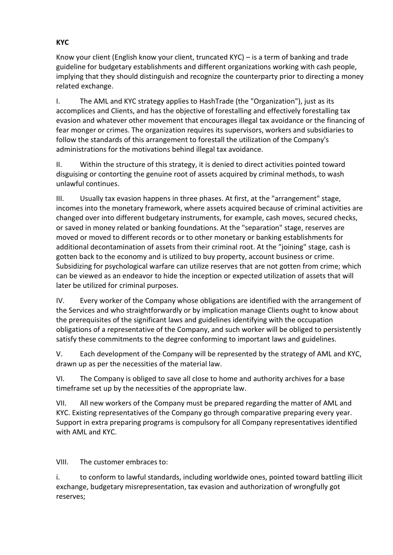Know your client (English know your client, truncated KYC) – is a term of banking and trade guideline for budgetary establishments and different organizations working with cash people, implying that they should distinguish and recognize the counterparty prior to directing a money related exchange.

I. The AML and KYC strategy applies to HashTrade (the "Organization"), just as its accomplices and Clients, and has the objective of forestalling and effectively forestalling tax evasion and whatever other movement that encourages illegal tax avoidance or the financing of fear monger or crimes. The organization requires its supervisors, workers and subsidiaries to follow the standards of this arrangement to forestall the utilization of the Company's administrations for the motivations behind illegal tax avoidance.

II. Within the structure of this strategy, it is denied to direct activities pointed toward disguising or contorting the genuine root of assets acquired by criminal methods, to wash unlawful continues.

III. Usually tax evasion happens in three phases. At first, at the "arrangement" stage, incomes into the monetary framework, where assets acquired because of criminal activities are changed over into different budgetary instruments, for example, cash moves, secured checks, or saved in money related or banking foundations. At the "separation" stage, reserves are moved or moved to different records or to other monetary or banking establishments for additional decontamination of assets from their criminal root. At the "joining" stage, cash is gotten back to the economy and is utilized to buy property, account business or crime. Subsidizing for psychological warfare can utilize reserves that are not gotten from crime; which can be viewed as an endeavor to hide the inception or expected utilization of assets that will later be utilized for criminal purposes.

IV. Every worker of the Company whose obligations are identified with the arrangement of the Services and who straightforwardly or by implication manage Clients ought to know about the prerequisites of the significant laws and guidelines identifying with the occupation obligations of a representative of the Company, and such worker will be obliged to persistently satisfy these commitments to the degree conforming to important laws and guidelines.

V. Each development of the Company will be represented by the strategy of AML and KYC, drawn up as per the necessities of the material law.

VI. The Company is obliged to save all close to home and authority archives for a base timeframe set up by the necessities of the appropriate law.

VII. All new workers of the Company must be prepared regarding the matter of AML and KYC. Existing representatives of the Company go through comparative preparing every year. Support in extra preparing programs is compulsory for all Company representatives identified with AML and KYC.

VIII. The customer embraces to:

i. to conform to lawful standards, including worldwide ones, pointed toward battling illicit exchange, budgetary misrepresentation, tax evasion and authorization of wrongfully got reserves;

## **KYC**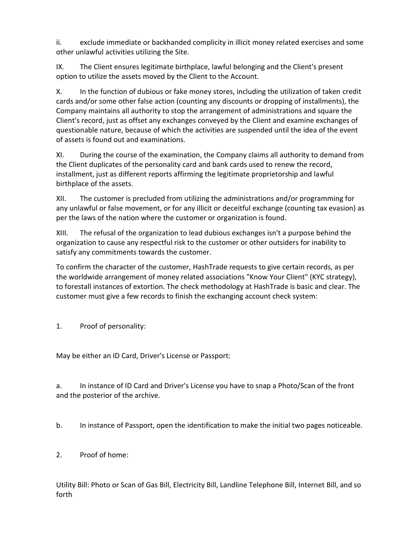ii. exclude immediate or backhanded complicity in illicit money related exercises and some other unlawful activities utilizing the Site.

IX. The Client ensures legitimate birthplace, lawful belonging and the Client's present option to utilize the assets moved by the Client to the Account.

X. In the function of dubious or fake money stores, including the utilization of taken credit cards and/or some other false action (counting any discounts or dropping of installments), the Company maintains all authority to stop the arrangement of administrations and square the Client's record, just as offset any exchanges conveyed by the Client and examine exchanges of questionable nature, because of which the activities are suspended until the idea of the event of assets is found out and examinations.

XI. During the course of the examination, the Company claims all authority to demand from the Client duplicates of the personality card and bank cards used to renew the record, installment, just as different reports affirming the legitimate proprietorship and lawful birthplace of the assets.

XII. The customer is precluded from utilizing the administrations and/or programming for any unlawful or false movement, or for any illicit or deceitful exchange (counting tax evasion) as per the laws of the nation where the customer or organization is found.

XIII. The refusal of the organization to lead dubious exchanges isn't a purpose behind the organization to cause any respectful risk to the customer or other outsiders for inability to satisfy any commitments towards the customer.

To confirm the character of the customer, HashTrade requests to give certain records, as per the worldwide arrangement of money related associations "Know Your Client" (KYC strategy), to forestall instances of extortion. The check methodology at HashTrade is basic and clear. The customer must give a few records to finish the exchanging account check system:

1. Proof of personality:

May be either an ID Card, Driver's License or Passport:

a. In instance of ID Card and Driver's License you have to snap a Photo/Scan of the front and the posterior of the archive.

b. In instance of Passport, open the identification to make the initial two pages noticeable.

2. Proof of home:

Utility Bill: Photo or Scan of Gas Bill, Electricity Bill, Landline Telephone Bill, Internet Bill, and so forth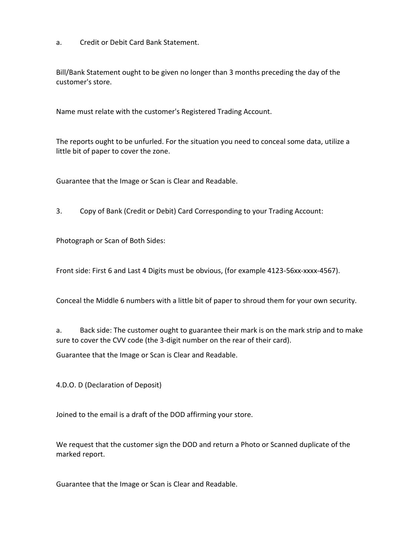a. Credit or Debit Card Bank Statement.

Bill/Bank Statement ought to be given no longer than 3 months preceding the day of the customer's store.

Name must relate with the customer's Registered Trading Account.

The reports ought to be unfurled. For the situation you need to conceal some data, utilize a little bit of paper to cover the zone.

Guarantee that the Image or Scan is Clear and Readable.

3. Copy of Bank (Credit or Debit) Card Corresponding to your Trading Account:

Photograph or Scan of Both Sides:

Front side: First 6 and Last 4 Digits must be obvious, (for example 4123-56xx-xxxx-4567).

Conceal the Middle 6 numbers with a little bit of paper to shroud them for your own security.

a. Back side: The customer ought to guarantee their mark is on the mark strip and to make sure to cover the CVV code (the 3-digit number on the rear of their card).

Guarantee that the Image or Scan is Clear and Readable.

4.D.O. D (Declaration of Deposit)

Joined to the email is a draft of the DOD affirming your store.

We request that the customer sign the DOD and return a Photo or Scanned duplicate of the marked report.

Guarantee that the Image or Scan is Clear and Readable.